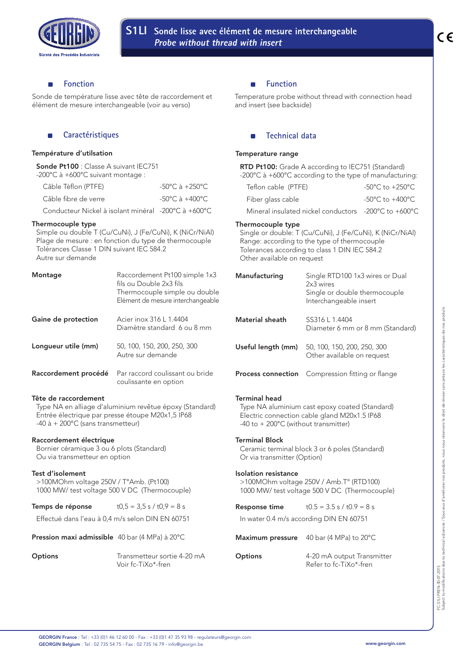

### **Fonction** ۰

Sonde de température lisse avec tête de raccordement et élément de mesure interchangeable (voir au verso)

# **Caractéristiques**

## Température d'utilsation

Sonde Pt100 : Classe A suivant IEC751 -200°C à +600°C suivant montage :

| Câble Téflon (PTFE)                                 | $-50^{\circ}$ C à $+250^{\circ}$ C. |
|-----------------------------------------------------|-------------------------------------|
| Câble fibre de verre                                | $-50^{\circ}$ C à $+400^{\circ}$ C. |
| Conducteur Nickel à isolant minéral -200°C à +600°C |                                     |

# Thermocouple type

Simple ou double T (Cu/CuNi), J (Fe/CuNi), K (NiCr/NiAl) Plage de mesure : en fonction du type de thermocouple Tolérances Classe 1 DIN suivant IEC 584.2 Autre sur demande

| Montage              | Raccordement Pt100 simple 1x3<br>fils ou Double 2x3 fils<br>Thermocouple simple ou double<br>Elément de mesure interchangeable |
|----------------------|--------------------------------------------------------------------------------------------------------------------------------|
| Gaine de protection  | Acier inox 316 L 1.4404<br>Diamètre standard 6 ou 8 mm                                                                         |
| Longueur utile (mm)  | 50, 100, 150, 200, 250, 300<br>Autre sur demande                                                                               |
| Raccordement procédé | Par raccord coulissant ou bride<br>coulissante en option                                                                       |

# Tête de raccordement

Type NA en alliage d'aluminium revêtue époxy (Standard) Entrée électrique par presse étoupe M20x1,5 IP68 -40 à + 200°C (sans transmetteur)

# Raccordement électrique

Bornier céramique 3 ou 6 plots (Standard) Ou via transmetteur en option

# Test d'isolement

>100MOhm voltage 250V / T°Amb. (Pt100) 1000 MW/ test voltage 500 V DC (Thermocouple)

# **Temps de réponse**  $t0,5 = 3,5$  s /  $t0,9 = 8$  s

Effectué dans l'eau à 0,4 m/s selon DIN EN 60751

Pression maxi admissible 40 bar (4 MPa) à 20°C

**Options** Transmetteur sortie 4-20 mA Voir fc-TiXo\*-fren

#### **Function**  $\blacksquare$

Temperature probe without thread with connection head and insert (see backside)

# **Technical data**

### Temperature range

RTD Pt100: Grade A according to IEC751 (Standard) -200°C à +600°C according to the type of manufacturing:

| Teflon cable (PTFE)                                  | -50°C to +250°C. |
|------------------------------------------------------|------------------|
| Fiber glass cable                                    | -50°C to +400°C. |
| Mineral insulated nickel conductors -200°C to +600°C |                  |

### Thermocouple type

Single or double: T (Cu/CuNi), J (Fe/CuNi), K (NiCr/NiAl) Range: according to the type of thermocouple Tolerances according to class 1 DIN IEC 584.2 Other available on request

| Manufacturing                                               | Single RTD100 1x3 wires or Dual<br>2x3 wires<br>Single or double thermocouple<br>Interchangeable insert |
|-------------------------------------------------------------|---------------------------------------------------------------------------------------------------------|
| Material sheath                                             | SS316 L 1.4404<br>Diameter 6 mm or 8 mm (Standard)                                                      |
| Useful length (mm)                                          | 50, 100, 150, 200, 250, 300<br>Other available on request                                               |
| <b>Process connection</b>                                   | Compression fitting or flange                                                                           |
| <b>Terminal head</b><br>-40 to +200°C (without transmitter) | Type NA aluminium cast epoxy coated (Standard)<br>Electric connection cable gland M20x1.5 IP68          |
| <b>Terminal Block</b><br>Or via transmitter (Option)        | Ceramic terminal block 3 or 6 poles (Standard)                                                          |
| <b>Isolation resistance</b>                                 | >100MOhm voltage 250V / Amb.T° (RTD100)<br>1000 MW/ test voltage 500 V DC (Thermocouple)                |
| <b>Response time</b>                                        | $t0.5 = 3.5$ s $\ell$ to $9 = 8$ s                                                                      |
|                                                             | In water 0.4 m/s according DIN EN 60751                                                                 |
| <b>Maximum pressure</b>                                     | 40 bar (4 MPa) to $20^{\circ}$ C                                                                        |
| <b>Options</b>                                              | 4-20 mA output Transmitter                                                                              |

Refer to fc-TiXo\*-fren

FC-S1LI-FREN-30-07-2015